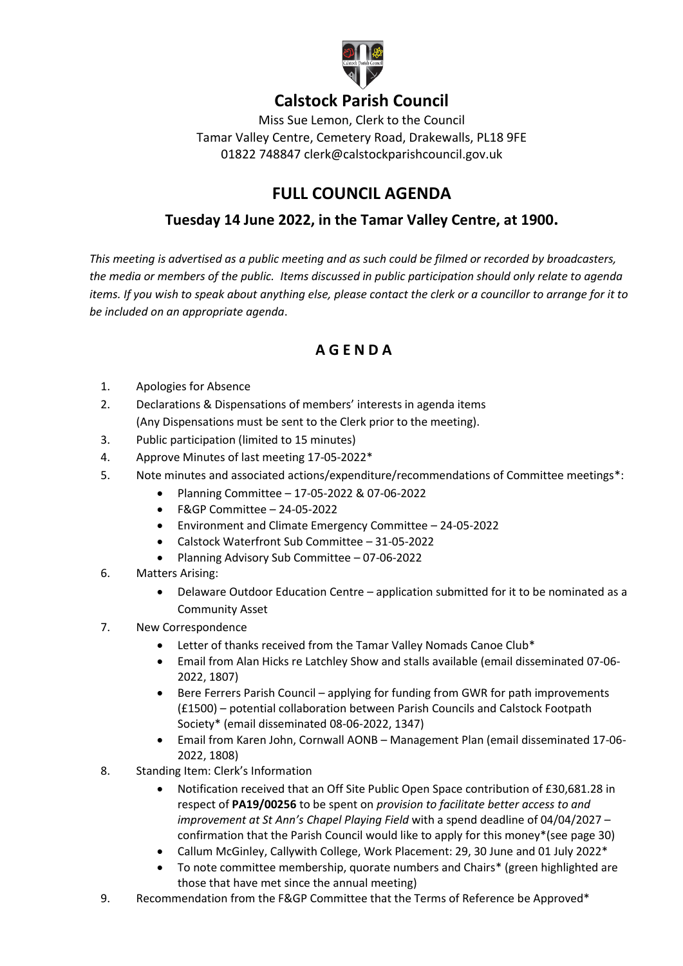

## **Calstock Parish Council**

Miss Sue Lemon, Clerk to the Council Tamar Valley Centre, Cemetery Road, Drakewalls, PL18 9FE 01822 748847 clerk@calstockparishcouncil.gov.uk

## **FULL COUNCIL AGENDA**

## **Tuesday 14 June 2022, in the Tamar Valley Centre, at 1900.**

*This meeting is advertised as a public meeting and as such could be filmed or recorded by broadcasters, the media or members of the public. Items discussed in public participation should only relate to agenda items. If you wish to speak about anything else, please contact the clerk or a councillor to arrange for it to be included on an appropriate agenda*.

## **A G E N D A**

- 1. Apologies for Absence
- 2. Declarations & Dispensations of members' interests in agenda items (Any Dispensations must be sent to the Clerk prior to the meeting).
- 3. Public participation (limited to 15 minutes)
- 4. Approve Minutes of last meeting 17-05-2022\*
- 5. Note minutes and associated actions/expenditure/recommendations of Committee meetings\*:
	- Planning Committee 17-05-2022 & 07-06-2022
	- F&GP Committee 24-05-2022
	- Environment and Climate Emergency Committee 24-05-2022
	- Calstock Waterfront Sub Committee 31-05-2022
	- Planning Advisory Sub Committee 07-06-2022
- 6. Matters Arising:
	- Delaware Outdoor Education Centre application submitted for it to be nominated as a Community Asset
- 7. New Correspondence
	- Letter of thanks received from the Tamar Valley Nomads Canoe Club\*
	- Email from Alan Hicks re Latchley Show and stalls available (email disseminated 07-06- 2022, 1807)
	- Bere Ferrers Parish Council applying for funding from GWR for path improvements (£1500) – potential collaboration between Parish Councils and Calstock Footpath Society\* (email disseminated 08-06-2022, 1347)
	- Email from Karen John, Cornwall AONB Management Plan (email disseminated 17-06- 2022, 1808)
- 8. Standing Item: Clerk's Information
	- Notification received that an Off Site Public Open Space contribution of £30.681.28 in respect of **PA19/00256** to be spent on *provision to facilitate better access to and improvement at St Ann's Chapel Playing Field* with a spend deadline of 04/04/2027 – confirmation that the Parish Council would like to apply for this money\*(see page 30)
	- Callum McGinley, Callywith College, Work Placement: 29, 30 June and 01 July 2022\*
	- To note committee membership, quorate numbers and Chairs\* (green highlighted are those that have met since the annual meeting)
- 9. Recommendation from the F&GP Committee that the Terms of Reference be Approved\*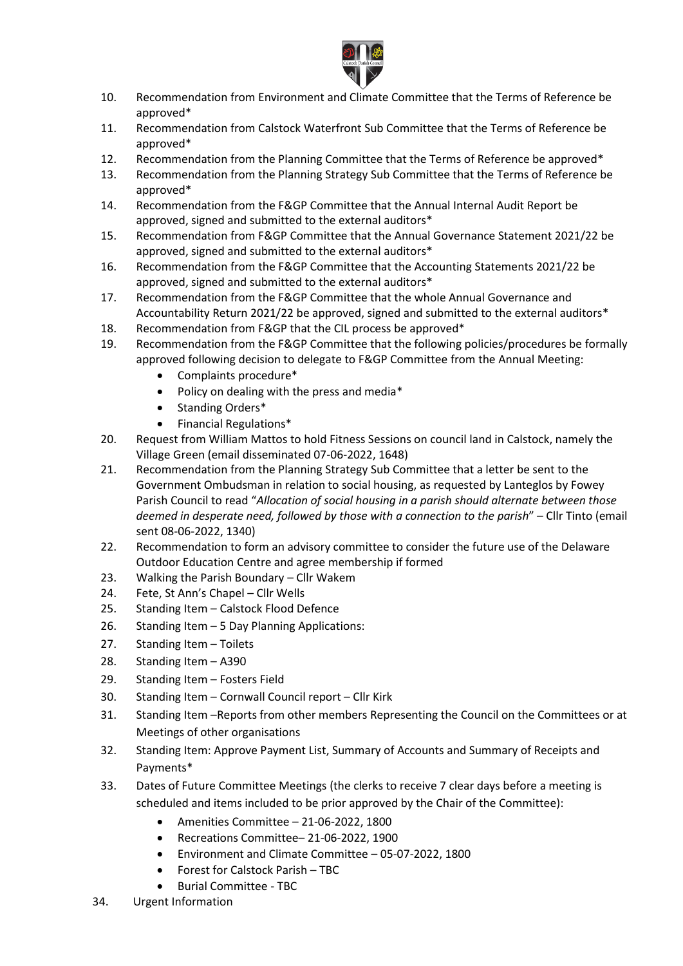

- 10. Recommendation from Environment and Climate Committee that the Terms of Reference be approved\*
- 11. Recommendation from Calstock Waterfront Sub Committee that the Terms of Reference be approved\*
- 12. Recommendation from the Planning Committee that the Terms of Reference be approved\*
- 13. Recommendation from the Planning Strategy Sub Committee that the Terms of Reference be approved\*
- 14. Recommendation from the F&GP Committee that the Annual Internal Audit Report be approved, signed and submitted to the external auditors\*
- 15. Recommendation from F&GP Committee that the Annual Governance Statement 2021/22 be approved, signed and submitted to the external auditors\*
- 16. Recommendation from the F&GP Committee that the Accounting Statements 2021/22 be approved, signed and submitted to the external auditors\*
- 17. Recommendation from the F&GP Committee that the whole Annual Governance and Accountability Return 2021/22 be approved, signed and submitted to the external auditors\*
- 18. Recommendation from F&GP that the CIL process be approved\*
- 19. Recommendation from the F&GP Committee that the following policies/procedures be formally approved following decision to delegate to F&GP Committee from the Annual Meeting:
	- Complaints procedure\*
	- Policy on dealing with the press and media\*
	- Standing Orders\*
	- Financial Regulations\*
- 20. Request from William Mattos to hold Fitness Sessions on council land in Calstock, namely the Village Green (email disseminated 07-06-2022, 1648)
- 21. Recommendation from the Planning Strategy Sub Committee that a letter be sent to the Government Ombudsman in relation to social housing, as requested by Lanteglos by Fowey Parish Council to read "*Allocation of social housing in a parish should alternate between those deemed in desperate need, followed by those with a connection to the parish*" – Cllr Tinto (email sent 08-06-2022, 1340)
- 22. Recommendation to form an advisory committee to consider the future use of the Delaware Outdoor Education Centre and agree membership if formed
- 23. Walking the Parish Boundary Cllr Wakem
- 24. Fete, St Ann's Chapel Cllr Wells
- 25. Standing Item Calstock Flood Defence
- 26. Standing Item 5 Day Planning Applications:
- 27. Standing Item Toilets
- 28. Standing Item A390
- 29. Standing Item Fosters Field
- 30. Standing Item Cornwall Council report Cllr Kirk
- 31. Standing Item –Reports from other members Representing the Council on the Committees or at Meetings of other organisations
- 32. Standing Item: Approve Payment List, Summary of Accounts and Summary of Receipts and Payments\*
- 33. Dates of Future Committee Meetings (the clerks to receive 7 clear days before a meeting is scheduled and items included to be prior approved by the Chair of the Committee):
	- Amenities Committee 21-06-2022, 1800
	- Recreations Committee– 21-06-2022, 1900
	- Environment and Climate Committee 05-07-2022, 1800
	- Forest for Calstock Parish TBC
	- Burial Committee TBC
- 34. Urgent Information